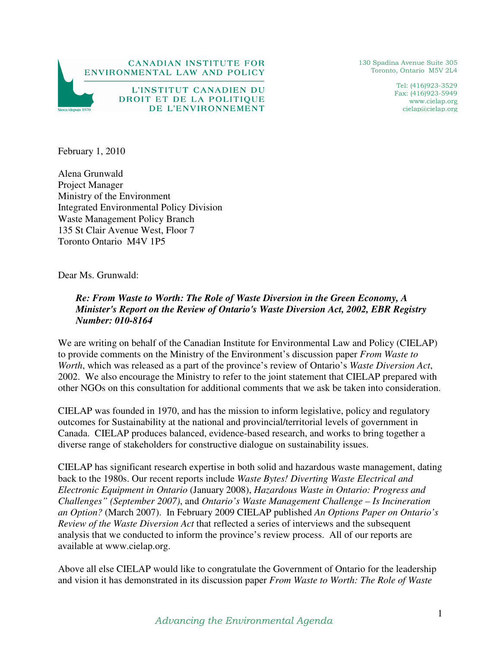

130 Spadina Avenue Suite 305 Toronto, Ontario M5V 2L4

> Tel: (416)923-3529 Fax: (416)923-5949 www.cielap.org cielap@cielap.org

February 1, 2010

Alena Grunwald Project Manager Ministry of the Environment Integrated Environmental Policy Division Waste Management Policy Branch 135 St Clair Avenue West, Floor 7 Toronto Ontario M4V 1P5

Dear Ms. Grunwald:

*Re: From Waste to Worth: The Role of Waste Diversion in the Green Economy, A Minister's Report on the Review of Ontario's Waste Diversion Act, 2002, EBR Registry Number: 010-8164* 

We are writing on behalf of the Canadian Institute for Environmental Law and Policy (CIELAP) to provide comments on the Ministry of the Environment's discussion paper *From Waste to Worth*, which was released as a part of the province's review of Ontario's *Waste Diversion Act*, 2002. We also encourage the Ministry to refer to the joint statement that CIELAP prepared with other NGOs on this consultation for additional comments that we ask be taken into consideration.

CIELAP was founded in 1970, and has the mission to inform legislative, policy and regulatory outcomes for Sustainability at the national and provincial/territorial levels of government in Canada. CIELAP produces balanced, evidence-based research, and works to bring together a diverse range of stakeholders for constructive dialogue on sustainability issues.

CIELAP has significant research expertise in both solid and hazardous waste management, dating back to the 1980s. Our recent reports include *Waste Bytes! Diverting Waste Electrical and Electronic Equipment in Ontario* (January 2008), *Hazardous Waste in Ontario: Progress and Challenges" (September 2007)*, and *Ontario's Waste Management Challenge – Is Incineration an Option?* (March 2007). In February 2009 CIELAP published *An Options Paper on Ontario's Review of the Waste Diversion Act* that reflected a series of interviews and the subsequent analysis that we conducted to inform the province's review process. All of our reports are available at www.cielap.org.

Above all else CIELAP would like to congratulate the Government of Ontario for the leadership and vision it has demonstrated in its discussion paper *From Waste to Worth: The Role of Waste*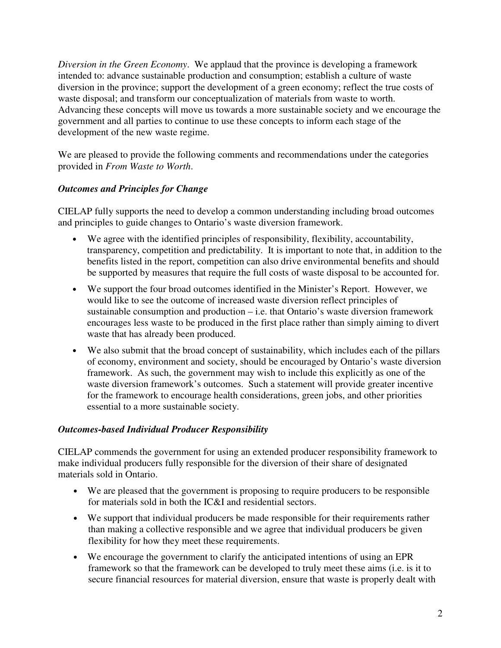*Diversion in the Green Economy*. We applaud that the province is developing a framework intended to: advance sustainable production and consumption; establish a culture of waste diversion in the province; support the development of a green economy; reflect the true costs of waste disposal; and transform our conceptualization of materials from waste to worth. Advancing these concepts will move us towards a more sustainable society and we encourage the government and all parties to continue to use these concepts to inform each stage of the development of the new waste regime.

We are pleased to provide the following comments and recommendations under the categories provided in *From Waste to Worth*.

# *Outcomes and Principles for Change*

CIELAP fully supports the need to develop a common understanding including broad outcomes and principles to guide changes to Ontario's waste diversion framework.

- We agree with the identified principles of responsibility, flexibility, accountability, transparency, competition and predictability. It is important to note that, in addition to the benefits listed in the report, competition can also drive environmental benefits and should be supported by measures that require the full costs of waste disposal to be accounted for.
- We support the four broad outcomes identified in the Minister's Report. However, we would like to see the outcome of increased waste diversion reflect principles of sustainable consumption and production – i.e. that Ontario's waste diversion framework encourages less waste to be produced in the first place rather than simply aiming to divert waste that has already been produced.
- We also submit that the broad concept of sustainability, which includes each of the pillars of economy, environment and society, should be encouraged by Ontario's waste diversion framework. As such, the government may wish to include this explicitly as one of the waste diversion framework's outcomes. Such a statement will provide greater incentive for the framework to encourage health considerations, green jobs, and other priorities essential to a more sustainable society.

# *Outcomes-based Individual Producer Responsibility*

CIELAP commends the government for using an extended producer responsibility framework to make individual producers fully responsible for the diversion of their share of designated materials sold in Ontario.

- We are pleased that the government is proposing to require producers to be responsible for materials sold in both the IC&I and residential sectors.
- We support that individual producers be made responsible for their requirements rather than making a collective responsible and we agree that individual producers be given flexibility for how they meet these requirements.
- We encourage the government to clarify the anticipated intentions of using an EPR framework so that the framework can be developed to truly meet these aims (i.e. is it to secure financial resources for material diversion, ensure that waste is properly dealt with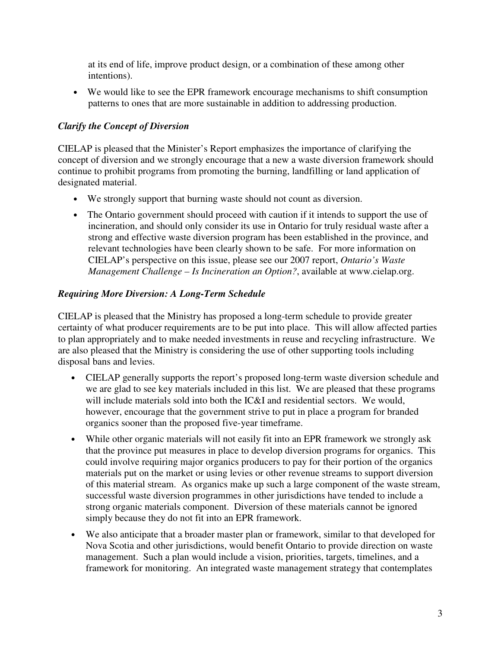at its end of life, improve product design, or a combination of these among other intentions).

• We would like to see the EPR framework encourage mechanisms to shift consumption patterns to ones that are more sustainable in addition to addressing production.

### *Clarify the Concept of Diversion*

CIELAP is pleased that the Minister's Report emphasizes the importance of clarifying the concept of diversion and we strongly encourage that a new a waste diversion framework should continue to prohibit programs from promoting the burning, landfilling or land application of designated material.

- We strongly support that burning waste should not count as diversion.
- The Ontario government should proceed with caution if it intends to support the use of incineration, and should only consider its use in Ontario for truly residual waste after a strong and effective waste diversion program has been established in the province, and relevant technologies have been clearly shown to be safe. For more information on CIELAP's perspective on this issue, please see our 2007 report, *Ontario's Waste Management Challenge – Is Incineration an Option?*, available at www.cielap.org.

### *Requiring More Diversion: A Long-Term Schedule*

CIELAP is pleased that the Ministry has proposed a long-term schedule to provide greater certainty of what producer requirements are to be put into place. This will allow affected parties to plan appropriately and to make needed investments in reuse and recycling infrastructure. We are also pleased that the Ministry is considering the use of other supporting tools including disposal bans and levies.

- CIELAP generally supports the report's proposed long-term waste diversion schedule and we are glad to see key materials included in this list. We are pleased that these programs will include materials sold into both the IC&I and residential sectors. We would, however, encourage that the government strive to put in place a program for branded organics sooner than the proposed five-year timeframe.
- While other organic materials will not easily fit into an EPR framework we strongly ask that the province put measures in place to develop diversion programs for organics. This could involve requiring major organics producers to pay for their portion of the organics materials put on the market or using levies or other revenue streams to support diversion of this material stream. As organics make up such a large component of the waste stream, successful waste diversion programmes in other jurisdictions have tended to include a strong organic materials component. Diversion of these materials cannot be ignored simply because they do not fit into an EPR framework.
- We also anticipate that a broader master plan or framework, similar to that developed for Nova Scotia and other jurisdictions, would benefit Ontario to provide direction on waste management. Such a plan would include a vision, priorities, targets, timelines, and a framework for monitoring. An integrated waste management strategy that contemplates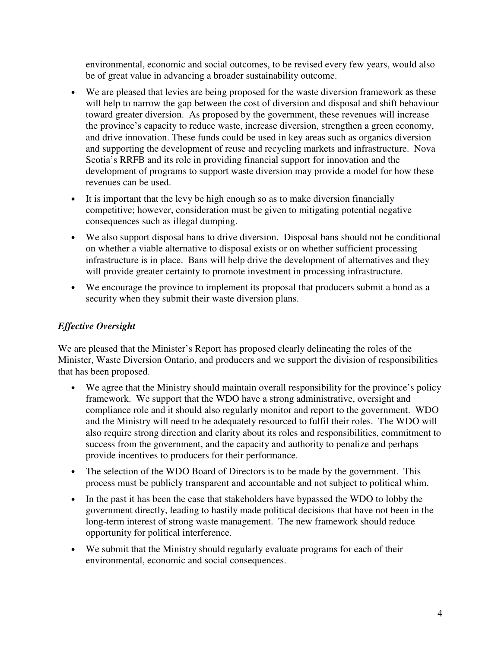environmental, economic and social outcomes, to be revised every few years, would also be of great value in advancing a broader sustainability outcome.

- We are pleased that levies are being proposed for the waste diversion framework as these will help to narrow the gap between the cost of diversion and disposal and shift behaviour toward greater diversion. As proposed by the government, these revenues will increase the province's capacity to reduce waste, increase diversion, strengthen a green economy, and drive innovation. These funds could be used in key areas such as organics diversion and supporting the development of reuse and recycling markets and infrastructure. Nova Scotia's RRFB and its role in providing financial support for innovation and the development of programs to support waste diversion may provide a model for how these revenues can be used.
- It is important that the levy be high enough so as to make diversion financially competitive; however, consideration must be given to mitigating potential negative consequences such as illegal dumping.
- We also support disposal bans to drive diversion. Disposal bans should not be conditional on whether a viable alternative to disposal exists or on whether sufficient processing infrastructure is in place. Bans will help drive the development of alternatives and they will provide greater certainty to promote investment in processing infrastructure.
- We encourage the province to implement its proposal that producers submit a bond as a security when they submit their waste diversion plans.

# *Effective Oversight*

We are pleased that the Minister's Report has proposed clearly delineating the roles of the Minister, Waste Diversion Ontario, and producers and we support the division of responsibilities that has been proposed.

- We agree that the Ministry should maintain overall responsibility for the province's policy framework. We support that the WDO have a strong administrative, oversight and compliance role and it should also regularly monitor and report to the government. WDO and the Ministry will need to be adequately resourced to fulfil their roles. The WDO will also require strong direction and clarity about its roles and responsibilities, commitment to success from the government, and the capacity and authority to penalize and perhaps provide incentives to producers for their performance.
- The selection of the WDO Board of Directors is to be made by the government. This process must be publicly transparent and accountable and not subject to political whim.
- In the past it has been the case that stakeholders have bypassed the WDO to lobby the government directly, leading to hastily made political decisions that have not been in the long-term interest of strong waste management. The new framework should reduce opportunity for political interference.
- We submit that the Ministry should regularly evaluate programs for each of their environmental, economic and social consequences.